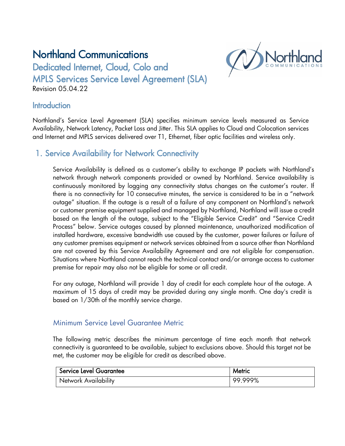# Northland Communications



Dedicated Internet, Cloud, Colo and MPLS Services Service Level Agreement (SLA)

Revision 05.04.22

### **Introduction**

Northland's Service Level Agreement (SLA) specifies minimum service levels measured as Service Availability, Network Latency, Packet Loss and Jitter. This SLA applies to Cloud and Colocation services and Internet and MPLS services delivered over T1, Ethernet, fiber optic facilities and wireless only.

# 1. Service Availability for Network Connectivity

Service Availability is defined as a customer's ability to exchange IP packets with Northland's network through network components provided or owned by Northland. Service availability is continuously monitored by logging any connectivity status changes on the customer's router. If there is no connectivity for 10 consecutive minutes, the service is considered to be in a "network outage" situation. If the outage is a result of a failure of any component on Northland's network or customer premise equipment supplied and managed by Northland, Northland will issue a credit based on the length of the outage, subject to the "Eligible Service Credit" and "Service Credit Process" below. Service outages caused by planned maintenance, unauthorized modification of installed hardware, excessive bandwidth use caused by the customer, power failures or failure of any customer premises equipment or network services obtained from a source other than Northland are not covered by this Service Availability Agreement and are not eligible for compensation. Situations where Northland cannot reach the technical contact and/or arrange access to customer premise for repair may also not be eligible for some or all credit.

For any outage, Northland will provide 1 day of credit for each complete hour of the outage. A maximum of 15 days of credit may be provided during any single month. One day's credit is based on 1/30th of the monthly service charge.

#### Minimum Service Level Guarantee Metric

The following metric describes the minimum percentage of time each month that network connectivity is guaranteed to be available, subject to exclusions above. Should this target not be met, the customer may be eligible for credit as described above.

| Service Level Guarantee | Metric  |
|-------------------------|---------|
| Network Availability    | 99.999% |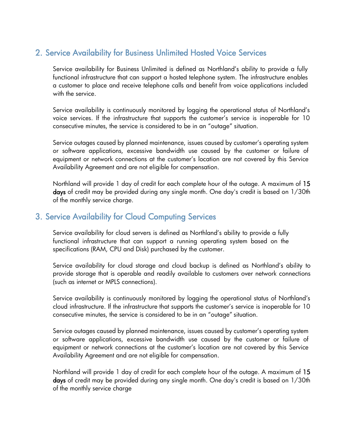# 2. Service Availability for Business Unlimited Hosted Voice Services

Service availability for Business Unlimited is defined as Northland's ability to provide a fully functional infrastructure that can support a hosted telephone system. The infrastructure enables a customer to place and receive telephone calls and benefit from voice applications included with the service.

Service availability is continuously monitored by logging the operational status of Northland's voice services. If the infrastructure that supports the customer's service is inoperable for 10 consecutive minutes, the service is considered to be in an "outage" situation.

Service outages caused by planned maintenance, issues caused by customer's operating system or software applications, excessive bandwidth use caused by the customer or failure of equipment or network connections at the customer's location are not covered by this Service Availability Agreement and are not eligible for compensation.

Northland will provide 1 day of credit for each complete hour of the outage. A maximum of 15 days of credit may be provided during any single month. One day's credit is based on 1/30th of the monthly service charge.

### 3. Service Availability for Cloud Computing Services

Service availability for cloud servers is defined as Northland's ability to provide a fully functional infrastructure that can support a running operating system based on the specifications (RAM, CPU and Disk) purchased by the customer.

Service availability for cloud storage and cloud backup is defined as Northland's ability to provide storage that is operable and readily available to customers over network connections (such as internet or MPLS connections).

Service availability is continuously monitored by logging the operational status of Northland's cloud infrastructure. If the infrastructure that supports the customer's service is inoperable for 10 consecutive minutes, the service is considered to be in an "outage" situation.

Service outages caused by planned maintenance, issues caused by customer's operating system or software applications, excessive bandwidth use caused by the customer or failure of equipment or network connections at the customer's location are not covered by this Service Availability Agreement and are not eligible for compensation.

Northland will provide 1 day of credit for each complete hour of the outage. A maximum of 15 days of credit may be provided during any single month. One day's credit is based on 1/30th of the monthly service charge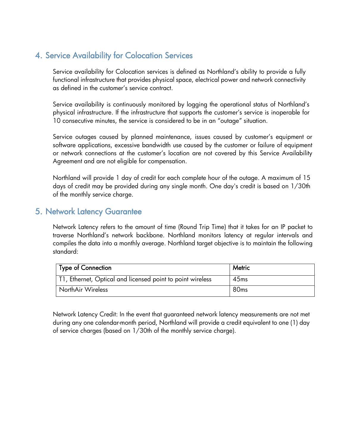# 4. Service Availability for Colocation Services

Service availability for Colocation services is defined as Northland's ability to provide a fully functional infrastructure that provides physical space, electrical power and network connectivity as defined in the customer's service contract.

Service availability is continuously monitored by logging the operational status of Northland's physical infrastructure. If the infrastructure that supports the customer's service is inoperable for 10 consecutive minutes, the service is considered to be in an "outage" situation.

Service outages caused by planned maintenance, issues caused by customer's equipment or software applications, excessive bandwidth use caused by the customer or failure of equipment or network connections at the customer's location are not covered by this Service Availability Agreement and are not eligible for compensation.

Northland will provide 1 day of credit for each complete hour of the outage. A maximum of 15 days of credit may be provided during any single month. One day's credit is based on 1/30th of the monthly service charge.

## 5. Network Latency Guarantee

Network Latency refers to the amount of time (Round Trip Time) that it takes for an IP packet to traverse Northland's network backbone. Northland monitors latency at regular intervals and compiles the data into a monthly average. Northland target objective is to maintain the following standard:

| Type of Connection                                         | Metric           |
|------------------------------------------------------------|------------------|
| T1, Ethernet, Optical and licensed point to point wireless | 45 <sub>ms</sub> |
| NorthAir Wireless                                          | 80 <sub>ms</sub> |

Network Latency Credit: In the event that guaranteed network latency measurements are not met during any one calendar-month period, Northland will provide a credit equivalent to one (1) day of service charges (based on 1/30th of the monthly service charge).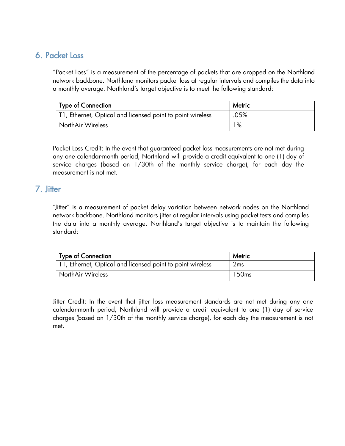# 6. Packet Loss

"Packet Loss" is a measurement of the percentage of packets that are dropped on the Northland network backbone. Northland monitors packet loss at regular intervals and compiles the data into a monthly average. Northland's target objective is to meet the following standard:

| Type of Connection                                         | <b>Metric</b> |
|------------------------------------------------------------|---------------|
| T1, Ethernet, Optical and licensed point to point wireless | .05%          |
| NorthAir Wireless                                          | 1%            |

Packet Loss Credit: In the event that guaranteed packet loss measurements are not met during any one calendar-month period, Northland will provide a credit equivalent to one (1) day of service charges (based on 1/30th of the monthly service charge), for each day the measurement is not met.

### 7. Jitter

"Jitter" is a measurement of packet delay variation between network nodes on the Northland network backbone. Northland monitors jitter at regular intervals using packet tests and compiles the data into a monthly average. Northland's target objective is to maintain the following standard:

| Type of Connection                                         | Metric            |
|------------------------------------------------------------|-------------------|
| T1, Ethernet, Optical and licensed point to point wireless | 2ms               |
| NorthAir Wireless                                          | 150 <sub>ms</sub> |

Jitter Credit: In the event that jitter loss measurement standards are not met during any one calendar-month period, Northland will provide a credit equivalent to one (1) day of service charges (based on 1/30th of the monthly service charge), for each day the measurement is not met.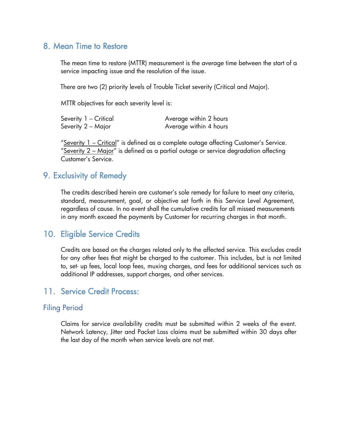### 8. Mean Time to Restore

 The mean time to restore (MTTR) measurement is the average time between the start of a service impacting issue and the resolution of the issue.

There are two (2) priority levels of Trouble Ticket severity (Critical and Major).

MTTR objectives for each severity level is:

| Severity 1 - Critical | Average within 2 hours |
|-----------------------|------------------------|
| Severity 2 – Major    | Average within 4 hours |

"Severity 1 – Critical" is defined as a complete outage affecting Customer's Service. "<u>Severity 2 – Major</u>" is defined as a partial outage or service degradation affecting Customer's Service.

#### 9. Exclusivity of Remedy

The credits described herein are customer's sole remedy for failure to meet any criteria, standard, measurement, goal, or objective set forth in this Service Level Agreement, regardless of cause. In no event shall the cumulative credits for all missed measurements in any month exceed the payments by Customer for recurring charges in that month.

#### 10. Eligible Service Credits

Credits are based on the charges related only to the affected service. This excludes credit for any other fees that might be charged to the customer. This includes, but is not limited to, set- up fees, local loop fees, muxing charges, and fees for additional services such as additional IP addresses, support charges, and other services.

### 11. Service Credit Process:

#### Filing Period

Claims for service availability credits must be submitted within 2 weeks of the event. Network Latency, Jitter and Packet Loss claims must be submitted within 30 days after the last day of the month when service levels are not met.